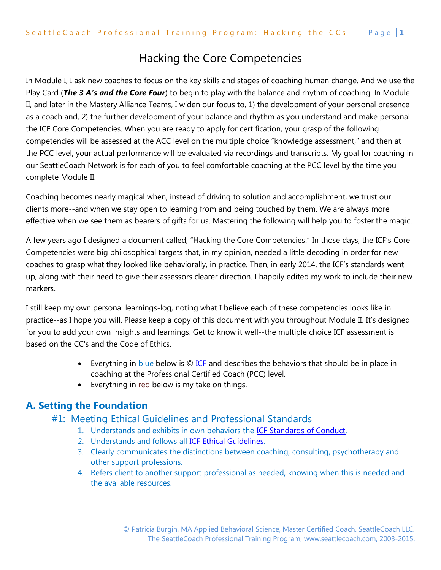# Hacking the Core Competencies

In Module I, I ask new coaches to focus on the key skills and stages of coaching human change. And we use the Play Card (*The 3 A's and the Core Four*) to begin to play with the balance and rhythm of coaching. In Module II, and later in the Mastery Alliance Teams, I widen our focus to, 1) the development of your personal presence as a coach and, 2) the further development of your balance and rhythm as you understand and make personal the ICF Core Competencies. When you are ready to apply for certification, your grasp of the following competencies will be assessed at the ACC level on the multiple choice "knowledge assessment," and then at the PCC level, your actual performance will be evaluated via recordings and transcripts. My goal for coaching in our SeattleCoach Network is for each of you to feel comfortable coaching at the PCC level by the time you complete Module II.

Coaching becomes nearly magical when, instead of driving to solution and accomplishment, we trust our clients more--and when we stay open to learning from and being touched by them. We are always more effective when we see them as bearers of gifts for us. Mastering the following will help you to foster the magic.

A few years ago I designed a document called, "Hacking the Core Competencies." In those days, the ICF's Core Competencies were big philosophical targets that, in my opinion, needed a little decoding in order for new coaches to grasp what they looked like behaviorally, in practice. Then, in early 2014, the ICF's standards went up, along with their need to give their assessors clearer direction. I happily edited my work to include their new markers.

I still keep my own personal learnings-log, noting what I believe each of these competencies looks like in practice--as I hope you will. Please keep a copy of this document with you throughout Module II. It's designed for you to add your own insights and learnings. Get to know it well--the multiple choice ICF assessment is based on the CC's and the Code of Ethics.

- Everything in blue below is  $\bigcirc$  ICE and describes the behaviors that should be in place in coaching at the Professional Certified Coach (PCC) level.
- Everything in red below is my take on things.

# **A. Setting the Foundation**

# #1: Meeting Ethical Guidelines and Professional Standards

- 1. Understands and exhibits in own behaviors the [ICF Standards of Conduct.](http://www.coachfederation.org/Ethics/)
- 2. Understands and follows all [ICF Ethical Guidelines.](http://www.coachfederation.org/Ethics/)
- 3. Clearly communicates the distinctions between coaching, consulting, psychotherapy and other support professions.
- 4. Refers client to another support professional as needed, knowing when this is needed and the available resources.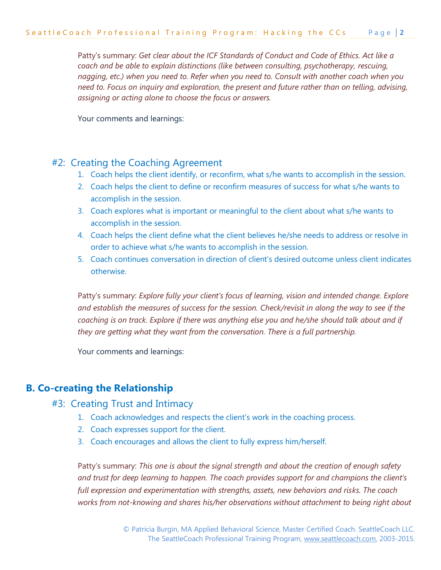Patty's summary: *Get clear about the ICF Standards of Conduct and Code of Ethics. Act like a coach and be able to explain distinctions (like between consulting, psychotherapy, rescuing, nagging, etc.) when you need to. Refer when you need to. Consult with another coach when you need to. Focus on inquiry and exploration, the present and future rather than on telling, advising, assigning or acting alone to choose the focus or answers.*

Your comments and learnings:

# #2: Creating the Coaching Agreement

- 1. Coach helps the client identify, or reconfirm, what s/he wants to accomplish in the session.
- 2. Coach helps the client to define or reconfirm measures of success for what s/he wants to accomplish in the session.
- 3. Coach explores what is important or meaningful to the client about what s/he wants to accomplish in the session.
- 4. Coach helps the client define what the client believes he/she needs to address or resolve in order to achieve what s/he wants to accomplish in the session.
- 5. Coach continues conversation in direction of client's desired outcome unless client indicates otherwise.

Patty's summary: *Explore fully your client's focus of learning, vision and intended change. Explore and establish the measures of success for the session. Check/revisit in along the way to see if the coaching is on track. Explore if there was anything else you and he/she should talk about and if they are getting what they want from the conversation. There is a full partnership.*

Your comments and learnings:

# **B. Co-creating the Relationship**

### #3: Creating Trust and Intimacy

- 1. Coach acknowledges and respects the client's work in the coaching process.
- 2. Coach expresses support for the client.
- 3. Coach encourages and allows the client to fully express him/herself.

Patty's summary: *This one is about the signal strength and about the creation of enough safety and trust for deep learning to happen. The coach provides support for and champions the client's full expression and experimentation with strengths, assets, new behaviors and risks. The coach works from not-knowing and shares his/her observations without attachment to being right about*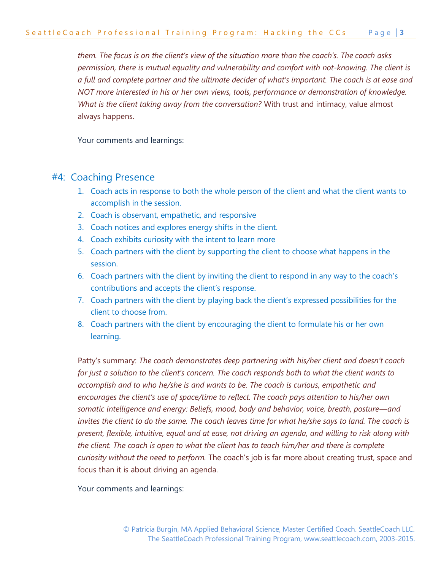*them. The focus is on the client's view of the situation more than the coach's. The coach asks permission, there is mutual equality and vulnerability and comfort with not-knowing. The client is a full and complete partner and the ultimate decider of what's important. The coach is at ease and NOT more interested in his or her own views, tools, performance or demonstration of knowledge. What is the client taking away from the conversation?* With trust and intimacy, value almost always happens.

Your comments and learnings:

### #4: Coaching Presence

- 1. Coach acts in response to both the whole person of the client and what the client wants to accomplish in the session.
- 2. Coach is observant, empathetic, and responsive
- 3. Coach notices and explores energy shifts in the client.
- 4. Coach exhibits curiosity with the intent to learn more
- 5. Coach partners with the client by supporting the client to choose what happens in the session.
- 6. Coach partners with the client by inviting the client to respond in any way to the coach's contributions and accepts the client's response.
- 7. Coach partners with the client by playing back the client's expressed possibilities for the client to choose from.
- 8. Coach partners with the client by encouraging the client to formulate his or her own learning.

Patty's summary: *The coach demonstrates deep partnering with his/her client and doesn't coach for just a solution to the client's concern. The coach responds both to what the client wants to accomplish and to who he/she is and wants to be. The coach is curious, empathetic and encourages the client's use of space/time to reflect. The coach pays attention to his/her own somatic intelligence and energy: Beliefs, mood, body and behavior, voice, breath, posture—and*  invites the client to do the same. The coach leaves time for what he/she says to land. The coach is *present, flexible, intuitive, equal and at ease, not driving an agenda, and willing to risk along with the client. The coach is open to what the client has to teach him/her and there is complete curiosity without the need to perform.* The coach's job is far more about creating trust, space and focus than it is about driving an agenda.

Your comments and learnings: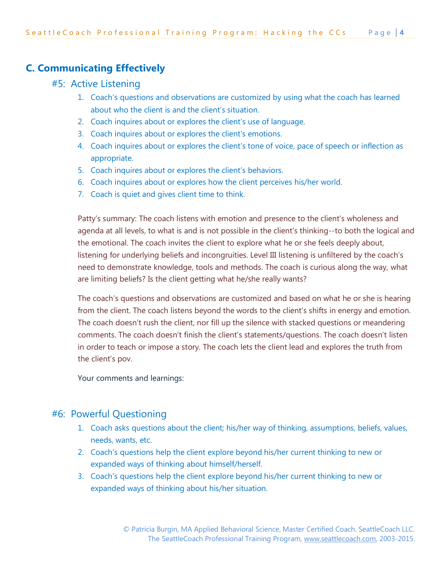# **C. Communicating Effectively**

# #5: Active Listening

- 1. Coach's questions and observations are customized by using what the coach has learned about who the client is and the client's situation.
- 2. Coach inquires about or explores the client's use of language.
- 3. Coach inquires about or explores the client's emotions.
- 4. Coach inquires about or explores the client's tone of voice, pace of speech or inflection as appropriate.
- 5. Coach inquires about or explores the client's behaviors.
- 6. Coach inquires about or explores how the client perceives his/her world.
- 7. Coach is quiet and gives client time to think.

Patty's summary: The coach listens with emotion and presence to the client's wholeness and agenda at all levels, to what is and is not possible in the client's thinking--to both the logical and the emotional. The coach invites the client to explore what he or she feels deeply about, listening for underlying beliefs and incongruities. Level III listening is unfiltered by the coach's need to demonstrate knowledge, tools and methods. The coach is curious along the way, what are limiting beliefs? Is the client getting what he/she really wants?

The coach's questions and observations are customized and based on what he or she is hearing from the client. The coach listens beyond the words to the client's shifts in energy and emotion. The coach doesn't rush the client, nor fill up the silence with stacked questions or meandering comments. The coach doesn't finish the client's statements/questions. The coach doesn't listen in order to teach or impose a story. The coach lets the client lead and explores the truth from the client's pov.

Your comments and learnings:

# #6: Powerful Questioning

- 1. Coach asks questions about the client; his/her way of thinking, assumptions, beliefs, values, needs, wants, etc.
- 2. Coach's questions help the client explore beyond his/her current thinking to new or expanded ways of thinking about himself/herself.
- 3. Coach's questions help the client explore beyond his/her current thinking to new or expanded ways of thinking about his/her situation.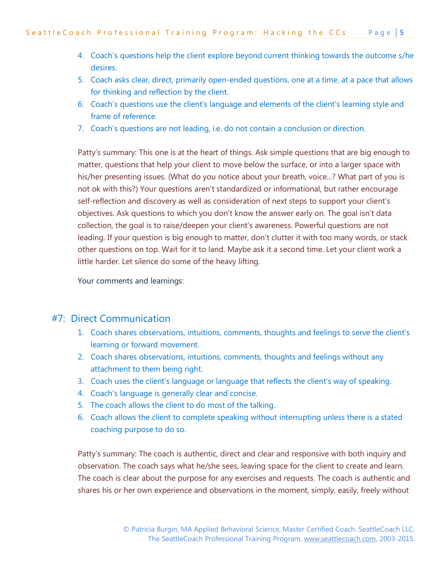- 4. Coach's questions help the client explore beyond current thinking towards the outcome s/he desires.
- 5. Coach asks clear, direct, primarily open-ended questions, one at a time, at a pace that allows for thinking and reflection by the client.
- 6. Coach's questions use the client's language and elements of the client's learning style and frame of reference.
- 7. Coach's questions are not leading, i.e. do not contain a conclusion or direction.

Patty's summary: This one is at the heart of things. Ask simple questions that are big enough to matter, questions that help your client to move below the surface, or into a larger space with his/her presenting issues. (What do you notice about your breath, voice...? What part of you is not ok with this?) Your questions aren't standardized or informational, but rather encourage self-reflection and discovery as well as consideration of next steps to support your client's objectives. Ask questions to which you don't know the answer early on. The goal isn't data collection, the goal is to raise/deepen your client's awareness. Powerful questions are not leading. If your question is big enough to matter, don't clutter it with too many words, or stack other questions on top. Wait for it to land. Maybe ask it a second time. Let your client work a little harder. Let silence do some of the heavy lifting.

Your comments and learnings:

### #7: Direct Communication

- 1. Coach shares observations, intuitions, comments, thoughts and feelings to serve the client's learning or forward movement.
- 2. Coach shares observations, intuitions, comments, thoughts and feelings without any attachment to them being right.
- 3. Coach uses the client's language or language that reflects the client's way of speaking.
- 4. Coach's language is generally clear and concise.
- 5. The coach allows the client to do most of the talking.
- 6. Coach allows the client to complete speaking without interrupting unless there is a stated coaching purpose to do so.

Patty's summary: The coach is authentic, direct and clear and responsive with both inquiry and observation. The coach says what he/she sees, leaving space for the client to create and learn. The coach is clear about the purpose for any exercises and requests. The coach is authentic and shares his or her own experience and observations in the moment, simply, easily, freely without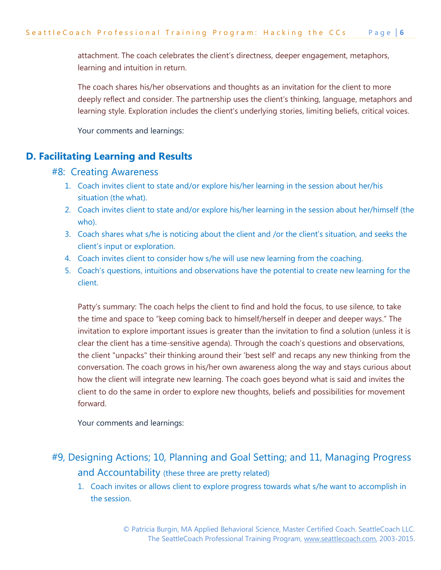attachment. The coach celebrates the client's directness, deeper engagement, metaphors, learning and intuition in return.

The coach shares his/her observations and thoughts as an invitation for the client to more deeply reflect and consider. The partnership uses the client's thinking, language, metaphors and learning style. Exploration includes the client's underlying stories, limiting beliefs, critical voices.

Your comments and learnings:

# **D. Facilitating Learning and Results**

#### #8: Creating Awareness

- 1. Coach invites client to state and/or explore his/her learning in the session about her/his situation (the what).
- 2. Coach invites client to state and/or explore his/her learning in the session about her/himself (the who).
- 3. Coach shares what s/he is noticing about the client and /or the client's situation, and seeks the client's input or exploration.
- 4. Coach invites client to consider how s/he will use new learning from the coaching.
- 5. Coach's questions, intuitions and observations have the potential to create new learning for the client.

Patty's summary: The coach helps the client to find and hold the focus, to use silence, to take the time and space to "keep coming back to himself/herself in deeper and deeper ways." The invitation to explore important issues is greater than the invitation to find a solution (unless it is clear the client has a time-sensitive agenda). Through the coach's questions and observations, the client "unpacks" their thinking around their 'best self' and recaps any new thinking from the conversation. The coach grows in his/her own awareness along the way and stays curious about how the client will integrate new learning. The coach goes beyond what is said and invites the client to do the same in order to explore new thoughts, beliefs and possibilities for movement forward.

Your comments and learnings:

# #9, Designing Actions; 10, Planning and Goal Setting; and 11, Managing Progress and Accountability (these three are pretty related)

1. Coach invites or allows client to explore progress towards what s/he want to accomplish in the session.

> © Patricia Burgin, MA Applied Behavioral Science, Master Certified Coach. SeattleCoach LLC. The SeattleCoach Professional Training Program, [www.seattlecoach.com,](http://www.seattlecoach.com/) 2003-2015.